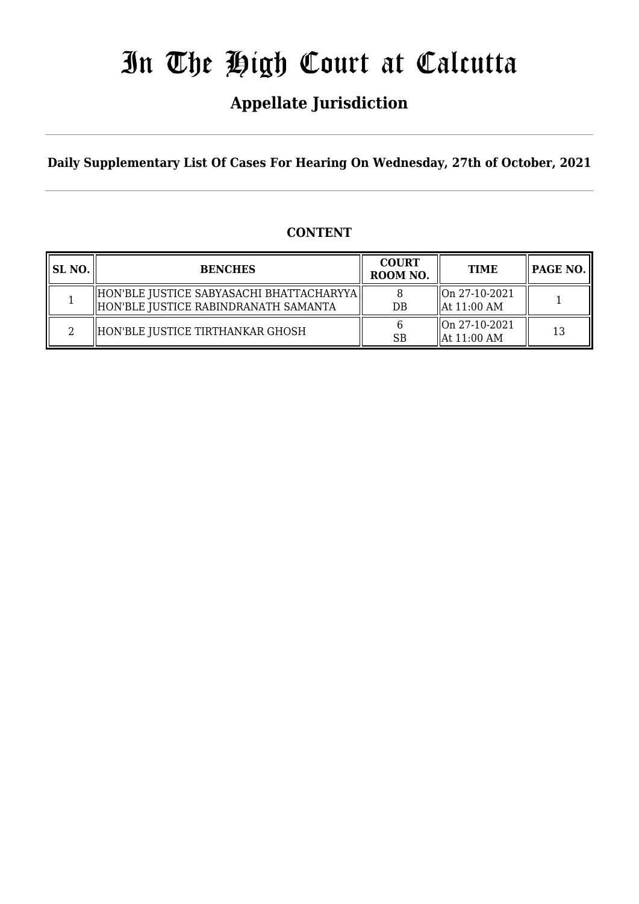# In The High Court at Calcutta

## **Appellate Jurisdiction**

**Daily Supplementary List Of Cases For Hearing On Wednesday, 27th of October, 2021**

#### **CONTENT**

| SL NO. | <b>BENCHES</b>                                                                     | <b>COURT</b><br>ROOM NO. | <b>TIME</b>                                               |    |
|--------|------------------------------------------------------------------------------------|--------------------------|-----------------------------------------------------------|----|
|        | HON'BLE JUSTICE SABYASACHI BHATTACHARYYA  <br>HON'BLE JUSTICE RABINDRANATH SAMANTA | $DB$                     | $\sqrt{\text{On } 27-10-2021}$<br>$\parallel$ At 11:00 AM |    |
| ◠      | HON'BLE JUSTICE TIRTHANKAR GHOSH                                                   | <b>SB</b>                | $\sqrt{\ln 27 - 10 - 2021}$<br>$\textsf{lat}$ 11:00 AM    | 13 |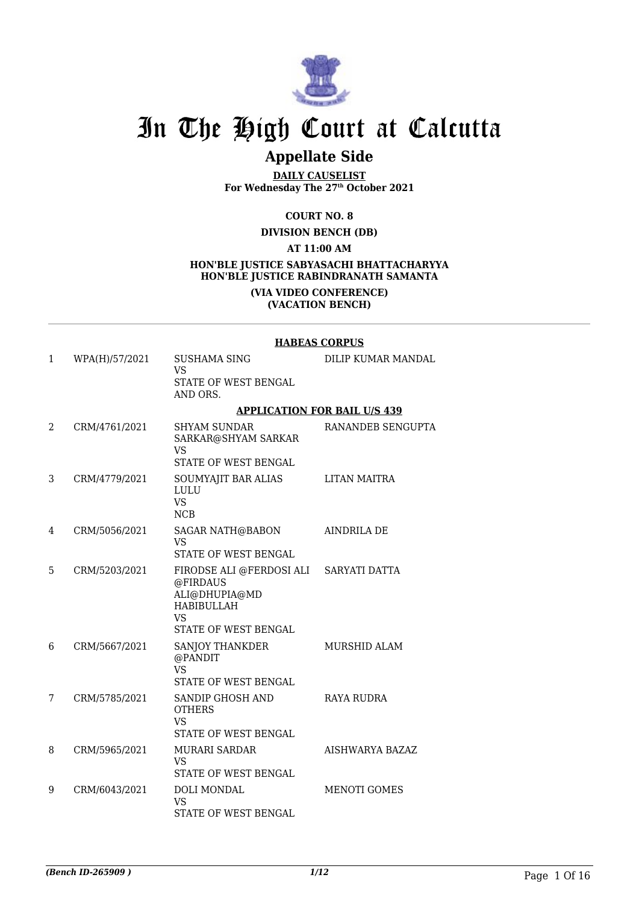

## In The High Court at Calcutta

### **Appellate Side**

**DAILY CAUSELIST For Wednesday The 27th October 2021**

**COURT NO. 8**

**DIVISION BENCH (DB)**

**AT 11:00 AM**

#### **HON'BLE JUSTICE SABYASACHI BHATTACHARYYA HON'BLE JUSTICE RABINDRANATH SAMANTA (VIA VIDEO CONFERENCE)**

**(VACATION BENCH)**

|   |                | <b>HABEAS CORPUS</b>                                                                                                   |                                     |  |  |
|---|----------------|------------------------------------------------------------------------------------------------------------------------|-------------------------------------|--|--|
| 1 | WPA(H)/57/2021 | SUSHAMA SING<br><b>VS</b><br>STATE OF WEST BENGAL<br>AND ORS.                                                          | DILIP KUMAR MANDAL                  |  |  |
|   |                |                                                                                                                        | <b>APPLICATION FOR BAIL U/S 439</b> |  |  |
| 2 | CRM/4761/2021  | <b>SHYAM SUNDAR</b><br>SARKAR@SHYAM SARKAR<br>VS<br>STATE OF WEST BENGAL                                               | RANANDEB SENGUPTA                   |  |  |
| 3 | CRM/4779/2021  | SOUMYAJIT BAR ALIAS<br>LULU<br><b>VS</b><br><b>NCB</b>                                                                 | LITAN MAITRA                        |  |  |
| 4 | CRM/5056/2021  | SAGAR NATH@BABON<br>VS.<br><b>STATE OF WEST BENGAL</b>                                                                 | <b>AINDRILA DE</b>                  |  |  |
| 5 | CRM/5203/2021  | FIRODSE ALI @FERDOSI ALI<br>@FIRDAUS<br>ALI@DHUPIA@MD<br><b>HABIBULLAH</b><br><b>VS</b><br><b>STATE OF WEST BENGAL</b> | <b>SARYATI DATTA</b>                |  |  |
| 6 | CRM/5667/2021  | SANJOY THANKDER<br>@PANDIT<br><b>VS</b><br>STATE OF WEST BENGAL                                                        | <b>MURSHID ALAM</b>                 |  |  |
| 7 | CRM/5785/2021  | SANDIP GHOSH AND<br><b>OTHERS</b><br><b>VS</b><br>STATE OF WEST BENGAL                                                 | RAYA RUDRA                          |  |  |
| 8 | CRM/5965/2021  | <b>MURARI SARDAR</b><br>VS.<br>STATE OF WEST BENGAL                                                                    | AISHWARYA BAZAZ                     |  |  |
| 9 | CRM/6043/2021  | DOLI MONDAL<br>VS<br>STATE OF WEST BENGAL                                                                              | <b>MENOTI GOMES</b>                 |  |  |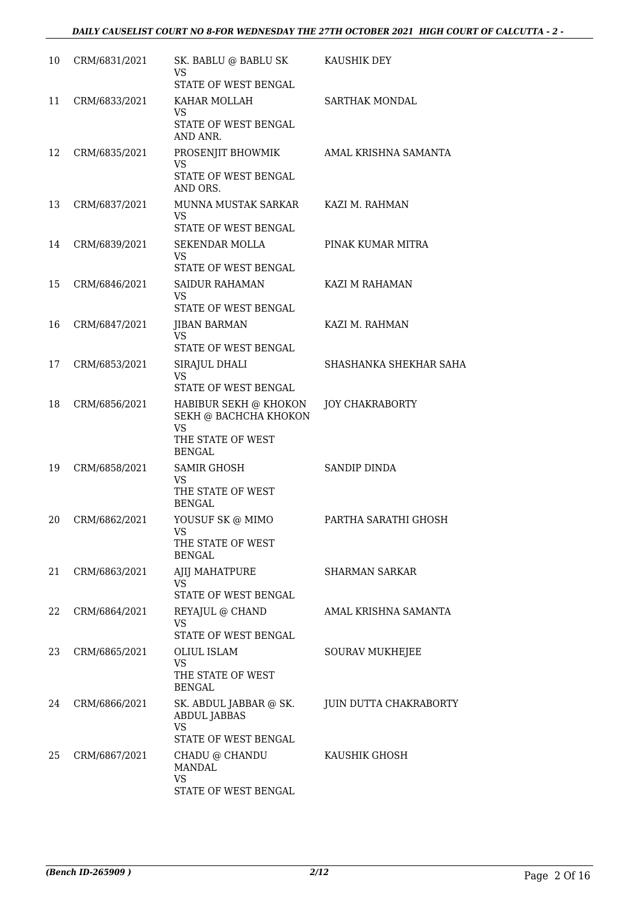| 10 | CRM/6831/2021 | SK. BABLU @ BABLU SK<br>VS                                  | KAUSHIK DEY            |
|----|---------------|-------------------------------------------------------------|------------------------|
|    |               | STATE OF WEST BENGAL                                        |                        |
| 11 | CRM/6833/2021 | KAHAR MOLLAH<br>VS                                          | <b>SARTHAK MONDAL</b>  |
|    |               | STATE OF WEST BENGAL<br>AND ANR.                            |                        |
| 12 | CRM/6835/2021 | PROSENJIT BHOWMIK<br>VS                                     | AMAL KRISHNA SAMANTA   |
|    |               | STATE OF WEST BENGAL<br>AND ORS.                            |                        |
| 13 | CRM/6837/2021 | MUNNA MUSTAK SARKAR<br><b>VS</b>                            | KAZI M. RAHMAN         |
|    |               | STATE OF WEST BENGAL                                        |                        |
| 14 | CRM/6839/2021 | <b>SEKENDAR MOLLA</b><br>VS                                 | PINAK KUMAR MITRA      |
|    |               | STATE OF WEST BENGAL                                        |                        |
| 15 | CRM/6846/2021 | <b>SAIDUR RAHAMAN</b><br><b>VS</b>                          | KAZI M RAHAMAN         |
|    |               | STATE OF WEST BENGAL                                        |                        |
| 16 | CRM/6847/2021 | JIBAN BARMAN<br><b>VS</b><br>STATE OF WEST BENGAL           | KAZI M. RAHMAN         |
| 17 | CRM/6853/2021 |                                                             | SHASHANKA SHEKHAR SAHA |
|    |               | SIRAJUL DHALI<br><b>VS</b><br>STATE OF WEST BENGAL          |                        |
|    |               |                                                             |                        |
| 18 | CRM/6856/2021 | HABIBUR SEKH @ KHOKON<br>SEKH @ BACHCHA KHOKON<br><b>VS</b> | <b>JOY CHAKRABORTY</b> |
|    |               | THE STATE OF WEST<br><b>BENGAL</b>                          |                        |
| 19 | CRM/6858/2021 | <b>SAMIR GHOSH</b>                                          | SANDIP DINDA           |
|    |               | VS<br>THE STATE OF WEST<br><b>BENGAL</b>                    |                        |
| 20 | CRM/6862/2021 | YOUSUF SK @ MIMO<br>VS                                      | PARTHA SARATHI GHOSH   |
|    |               | THE STATE OF WEST<br><b>BENGAL</b>                          |                        |
| 21 | CRM/6863/2021 | AJIJ MAHATPURE<br><b>VS</b>                                 | <b>SHARMAN SARKAR</b>  |
|    |               | STATE OF WEST BENGAL                                        |                        |
| 22 | CRM/6864/2021 | REYAJUL @ CHAND<br>VS                                       | AMAL KRISHNA SAMANTA   |
|    |               | <b>STATE OF WEST BENGAL</b>                                 |                        |
| 23 | CRM/6865/2021 | OLIUL ISLAM<br><b>VS</b>                                    | <b>SOURAV MUKHEJEE</b> |
|    |               | THE STATE OF WEST<br><b>BENGAL</b>                          |                        |
| 24 | CRM/6866/2021 | SK. ABDUL JABBAR @ SK.<br><b>ABDUL JABBAS</b>               | JUIN DUTTA CHAKRABORTY |
|    |               | <b>VS</b><br>STATE OF WEST BENGAL                           |                        |
| 25 | CRM/6867/2021 | CHADU @ CHANDU<br><b>MANDAL</b>                             | KAUSHIK GHOSH          |
|    |               | <b>VS</b><br>STATE OF WEST BENGAL                           |                        |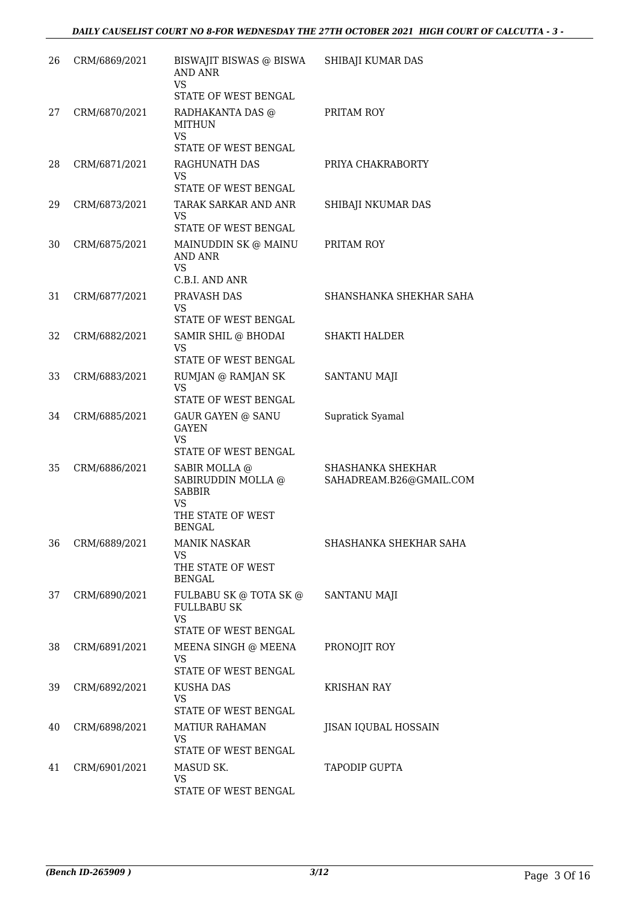| 26 | CRM/6869/2021 | BISWAJIT BISWAS @ BISWA SHIBAJI KUMAR DAS<br><b>AND ANR</b><br><b>VS</b>          |                                              |
|----|---------------|-----------------------------------------------------------------------------------|----------------------------------------------|
|    |               | STATE OF WEST BENGAL                                                              |                                              |
| 27 | CRM/6870/2021 | RADHAKANTA DAS @<br>MITHUN<br><b>VS</b><br>STATE OF WEST BENGAL                   | PRITAM ROY                                   |
| 28 | CRM/6871/2021 | RAGHUNATH DAS<br>VS                                                               | PRIYA CHAKRABORTY                            |
|    |               | STATE OF WEST BENGAL                                                              |                                              |
| 29 | CRM/6873/2021 | TARAK SARKAR AND ANR<br>VS<br>STATE OF WEST BENGAL                                | SHIBAJI NKUMAR DAS                           |
| 30 | CRM/6875/2021 | MAINUDDIN SK @ MAINU<br>AND ANR                                                   | PRITAM ROY                                   |
|    |               | <b>VS</b><br>C.B.I. AND ANR                                                       |                                              |
| 31 | CRM/6877/2021 | PRAVASH DAS<br><b>VS</b>                                                          | SHANSHANKA SHEKHAR SAHA                      |
| 32 |               | STATE OF WEST BENGAL                                                              |                                              |
|    | CRM/6882/2021 | SAMIR SHIL @ BHODAI<br><b>VS</b>                                                  | <b>SHAKTI HALDER</b>                         |
| 33 | CRM/6883/2021 | STATE OF WEST BENGAL<br>RUMJAN @ RAMJAN SK                                        | SANTANU MAJI                                 |
|    |               | <b>VS</b><br>STATE OF WEST BENGAL                                                 |                                              |
| 34 | CRM/6885/2021 | <b>GAUR GAYEN @ SANU</b><br><b>GAYEN</b>                                          | Supratick Syamal                             |
|    |               | <b>VS</b><br>STATE OF WEST BENGAL                                                 |                                              |
| 35 | CRM/6886/2021 | SABIR MOLLA @<br>SABIRUDDIN MOLLA @<br><b>SABBIR</b><br><b>VS</b>                 | SHASHANKA SHEKHAR<br>SAHADREAM.B26@GMAIL.COM |
|    |               | THE STATE OF WEST<br><b>BENGAL</b>                                                |                                              |
| 36 | CRM/6889/2021 | <b>MANIK NASKAR</b><br>VS<br>THE STATE OF WEST<br><b>BENGAL</b>                   | SHASHANKA SHEKHAR SAHA                       |
| 37 | CRM/6890/2021 | FULBABU SK @ TOTA SK @<br><b>FULLBABU SK</b><br><b>VS</b><br>STATE OF WEST BENGAL | SANTANU MAJI                                 |
| 38 | CRM/6891/2021 | MEENA SINGH @ MEENA<br><b>VS</b>                                                  | PRONOJIT ROY                                 |
|    |               | STATE OF WEST BENGAL                                                              |                                              |
| 39 | CRM/6892/2021 | KUSHA DAS<br>VS.<br>STATE OF WEST BENGAL                                          | KRISHAN RAY                                  |
| 40 | CRM/6898/2021 | <b>MATIUR RAHAMAN</b><br>VS.                                                      | JISAN IQUBAL HOSSAIN                         |
|    |               | STATE OF WEST BENGAL                                                              |                                              |
| 41 | CRM/6901/2021 | MASUD SK.<br><b>VS</b><br>STATE OF WEST BENGAL                                    | <b>TAPODIP GUPTA</b>                         |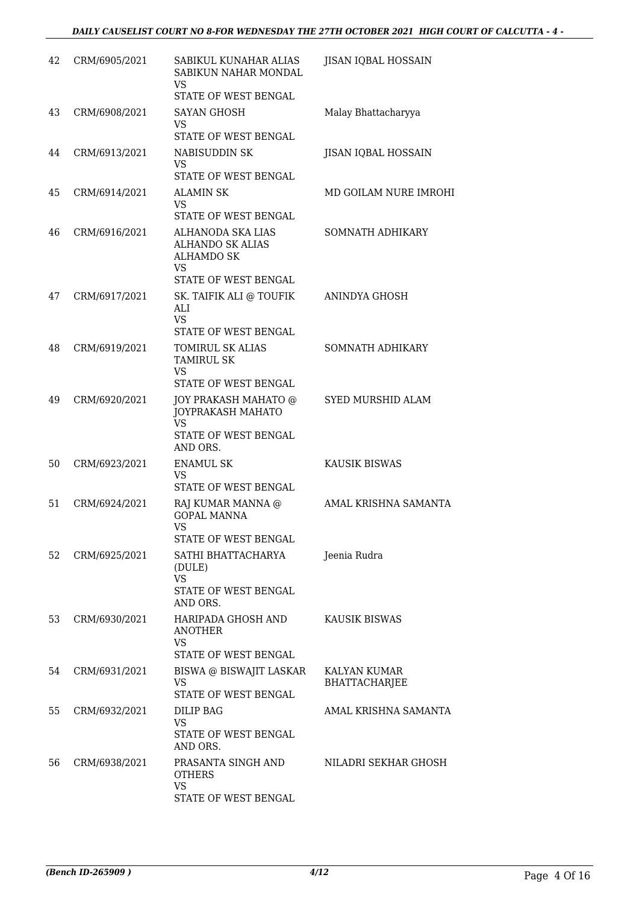| 42 | CRM/6905/2021 | SABIKUL KUNAHAR ALIAS<br>SABIKUN NAHAR MONDAL<br>VS<br>STATE OF WEST BENGAL                 | JISAN IQBAL HOSSAIN           |
|----|---------------|---------------------------------------------------------------------------------------------|-------------------------------|
| 43 | CRM/6908/2021 | SAYAN GHOSH<br><b>VS</b><br>STATE OF WEST BENGAL                                            | Malay Bhattacharyya           |
| 44 | CRM/6913/2021 | NABISUDDIN SK<br>VS<br>STATE OF WEST BENGAL                                                 | JISAN IQBAL HOSSAIN           |
| 45 | CRM/6914/2021 | <b>ALAMIN SK</b><br><b>VS</b><br>STATE OF WEST BENGAL                                       | MD GOILAM NURE IMROHI         |
| 46 | CRM/6916/2021 | ALHANODA SKA LIAS<br><b>ALHANDO SK ALIAS</b><br><b>ALHAMDO SK</b><br><b>VS</b>              | SOMNATH ADHIKARY              |
| 47 | CRM/6917/2021 | STATE OF WEST BENGAL<br>SK. TAIFIK ALI @ TOUFIK<br>ALI<br><b>VS</b><br>STATE OF WEST BENGAL | ANINDYA GHOSH                 |
| 48 | CRM/6919/2021 | TOMIRUL SK ALIAS<br><b>TAMIRUL SK</b><br><b>VS</b><br>STATE OF WEST BENGAL                  | SOMNATH ADHIKARY              |
| 49 | CRM/6920/2021 | JOY PRAKASH MAHATO @<br>JOYPRAKASH MAHATO<br><b>VS</b><br>STATE OF WEST BENGAL<br>AND ORS.  | <b>SYED MURSHID ALAM</b>      |
| 50 | CRM/6923/2021 | <b>ENAMUL SK</b><br><b>VS</b><br>STATE OF WEST BENGAL                                       | <b>KAUSIK BISWAS</b>          |
| 51 | CRM/6924/2021 | RAJ KUMAR MANNA @<br><b>GOPAL MANNA</b><br><b>VS</b><br>STATE OF WEST BENGAL                | AMAL KRISHNA SAMANTA          |
| 52 | CRM/6925/2021 | SATHI BHATTACHARYA<br>(DULE)<br><b>VS</b><br><b>STATE OF WEST BENGAL</b><br>AND ORS.        | Jeenia Rudra                  |
| 53 | CRM/6930/2021 | HARIPADA GHOSH AND<br><b>ANOTHER</b><br><b>VS</b><br>STATE OF WEST BENGAL                   | KAUSIK BISWAS                 |
| 54 | CRM/6931/2021 | BISWA @ BISWAJIT LASKAR<br>VS<br>STATE OF WEST BENGAL                                       | KALYAN KUMAR<br>BHATTACHARJEE |
| 55 | CRM/6932/2021 | DILIP BAG<br><b>VS</b><br>STATE OF WEST BENGAL<br>AND ORS.                                  | AMAL KRISHNA SAMANTA          |
| 56 | CRM/6938/2021 | PRASANTA SINGH AND<br><b>OTHERS</b><br><b>VS</b><br>STATE OF WEST BENGAL                    | NILADRI SEKHAR GHOSH          |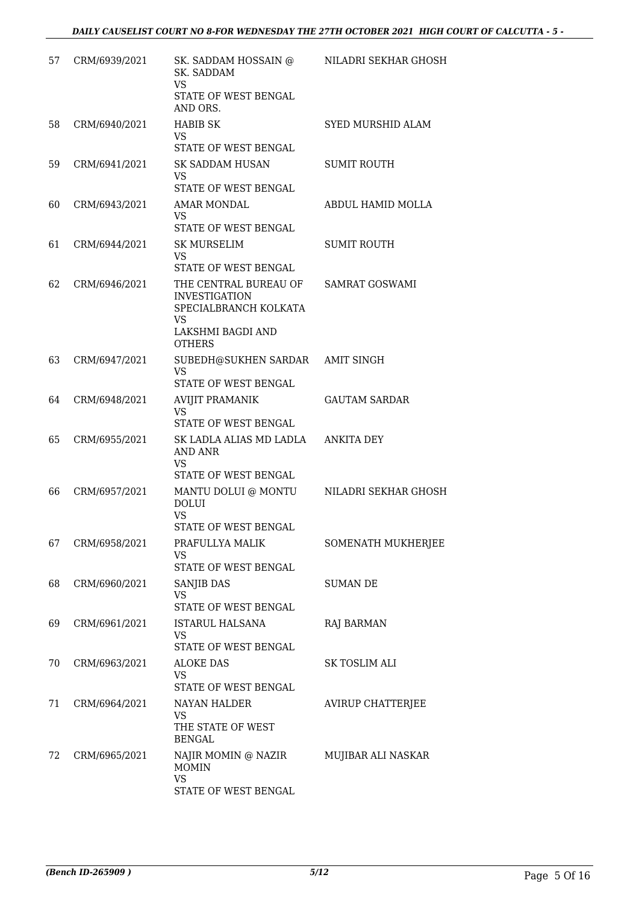| 57 | CRM/6939/2021 | SK. SADDAM HOSSAIN @<br>SK. SADDAM<br><b>VS</b><br>STATE OF WEST BENGAL<br>AND ORS.                                | NILADRI SEKHAR GHOSH     |
|----|---------------|--------------------------------------------------------------------------------------------------------------------|--------------------------|
| 58 | CRM/6940/2021 | <b>HABIB SK</b><br>VS<br>STATE OF WEST BENGAL                                                                      | SYED MURSHID ALAM        |
| 59 | CRM/6941/2021 | SK SADDAM HUSAN<br>VS<br>STATE OF WEST BENGAL                                                                      | <b>SUMIT ROUTH</b>       |
| 60 | CRM/6943/2021 | AMAR MONDAL<br><b>VS</b><br>STATE OF WEST BENGAL                                                                   | ABDUL HAMID MOLLA        |
| 61 | CRM/6944/2021 | <b>SK MURSELIM</b><br><b>VS</b><br>STATE OF WEST BENGAL                                                            | <b>SUMIT ROUTH</b>       |
| 62 | CRM/6946/2021 | THE CENTRAL BUREAU OF<br><b>INVESTIGATION</b><br>SPECIALBRANCH KOLKATA<br>VS<br>LAKSHMI BAGDI AND<br><b>OTHERS</b> | <b>SAMRAT GOSWAMI</b>    |
| 63 | CRM/6947/2021 | SUBEDH@SUKHEN SARDAR<br><b>VS</b><br>STATE OF WEST BENGAL                                                          | AMIT SINGH               |
| 64 | CRM/6948/2021 | <b>AVIJIT PRAMANIK</b><br><b>VS</b><br>STATE OF WEST BENGAL                                                        | <b>GAUTAM SARDAR</b>     |
| 65 | CRM/6955/2021 | SK LADLA ALIAS MD LADLA<br>AND ANR<br><b>VS</b><br>STATE OF WEST BENGAL                                            | <b>ANKITA DEY</b>        |
| 66 | CRM/6957/2021 | MANTU DOLUI @ MONTU<br><b>DOLUI</b><br><b>VS</b><br>STATE OF WEST BENGAL                                           | NILADRI SEKHAR GHOSH     |
| 67 | CRM/6958/2021 | PRAFULLYA MALIK<br>VS<br>STATE OF WEST BENGAL                                                                      | SOMENATH MUKHERJEE       |
| 68 | CRM/6960/2021 | SANJIB DAS<br><b>VS</b><br>STATE OF WEST BENGAL                                                                    | <b>SUMAN DE</b>          |
| 69 | CRM/6961/2021 | ISTARUL HALSANA<br>VS<br>STATE OF WEST BENGAL                                                                      | <b>RAJ BARMAN</b>        |
| 70 | CRM/6963/2021 | <b>ALOKE DAS</b><br>VS<br>STATE OF WEST BENGAL                                                                     | SK TOSLIM ALI            |
| 71 | CRM/6964/2021 | NAYAN HALDER<br>VS<br>THE STATE OF WEST<br><b>BENGAL</b>                                                           | <b>AVIRUP CHATTERJEE</b> |
| 72 | CRM/6965/2021 | NAJIR MOMIN @ NAZIR<br><b>MOMIN</b><br><b>VS</b><br>STATE OF WEST BENGAL                                           | MUJIBAR ALI NASKAR       |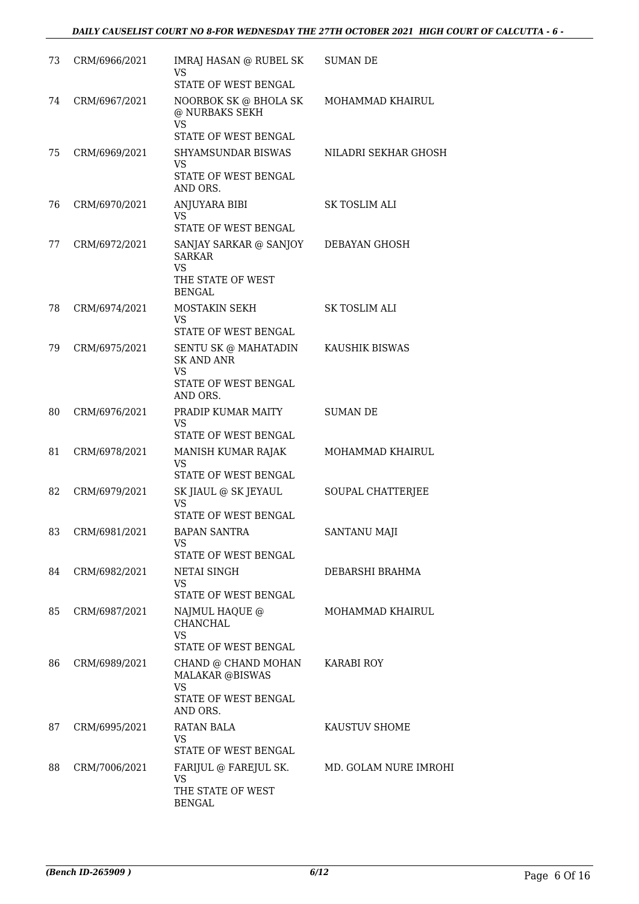| 73 | CRM/6966/2021    | IMRAJ HASAN @ RUBEL SK<br>VS<br>STATE OF WEST BENGAL                                       | <b>SUMAN DE</b>       |
|----|------------------|--------------------------------------------------------------------------------------------|-----------------------|
| 74 | CRM/6967/2021    | NOORBOK SK @ BHOLA SK<br>@ NURBAKS SEKH<br>VS                                              | MOHAMMAD KHAIRUL      |
|    |                  | STATE OF WEST BENGAL                                                                       |                       |
| 75 | CRM/6969/2021    | SHYAMSUNDAR BISWAS<br>VS<br>STATE OF WEST BENGAL<br>AND ORS.                               | NILADRI SEKHAR GHOSH  |
| 76 | CRM/6970/2021    | ANJUYARA BIBI<br>VS<br>STATE OF WEST BENGAL                                                | <b>SK TOSLIM ALI</b>  |
| 77 | CRM/6972/2021    | SANJAY SARKAR @ SANJOY<br><b>SARKAR</b><br>VS<br>THE STATE OF WEST                         | DEBAYAN GHOSH         |
| 78 | CRM/6974/2021    | <b>BENGAL</b><br>MOSTAKIN SEKH                                                             | <b>SK TOSLIM ALI</b>  |
|    |                  | <b>VS</b><br>STATE OF WEST BENGAL                                                          |                       |
| 79 | CRM/6975/2021    | SENTU SK @ MAHATADIN<br><b>SK AND ANR</b><br><b>VS</b><br>STATE OF WEST BENGAL<br>AND ORS. | KAUSHIK BISWAS        |
| 80 | CRM/6976/2021    | PRADIP KUMAR MAITY<br><b>VS</b><br>STATE OF WEST BENGAL                                    | <b>SUMAN DE</b>       |
| 81 | CRM/6978/2021    | MANISH KUMAR RAJAK<br><b>VS</b><br>STATE OF WEST BENGAL                                    | MOHAMMAD KHAIRUL      |
| 82 | CRM/6979/2021    | SK JIAUL @ SK JEYAUL<br><b>VS</b><br>STATE OF WEST BENGAL                                  | SOUPAL CHATTERJEE     |
|    | 83 CRM/6981/2021 | <b>BAPAN SANTRA</b><br>VS<br>STATE OF WEST BENGAL                                          | SANTANU MAJI          |
| 84 | CRM/6982/2021    | NETAI SINGH<br>VS.<br>STATE OF WEST BENGAL                                                 | DEBARSHI BRAHMA       |
| 85 | CRM/6987/2021    | NAJMUL HAQUE @<br>CHANCHAL<br><b>VS</b>                                                    | MOHAMMAD KHAIRUL      |
|    |                  | STATE OF WEST BENGAL                                                                       |                       |
| 86 | CRM/6989/2021    | CHAND @ CHAND MOHAN<br><b>MALAKAR @BISWAS</b><br>VS<br>STATE OF WEST BENGAL<br>AND ORS.    | <b>KARABI ROY</b>     |
| 87 | CRM/6995/2021    | RATAN BALA<br>VS.<br>STATE OF WEST BENGAL                                                  | KAUSTUV SHOME         |
| 88 | CRM/7006/2021    | FARIJUL @ FAREJUL SK.<br>VS<br>THE STATE OF WEST<br><b>BENGAL</b>                          | MD. GOLAM NURE IMROHI |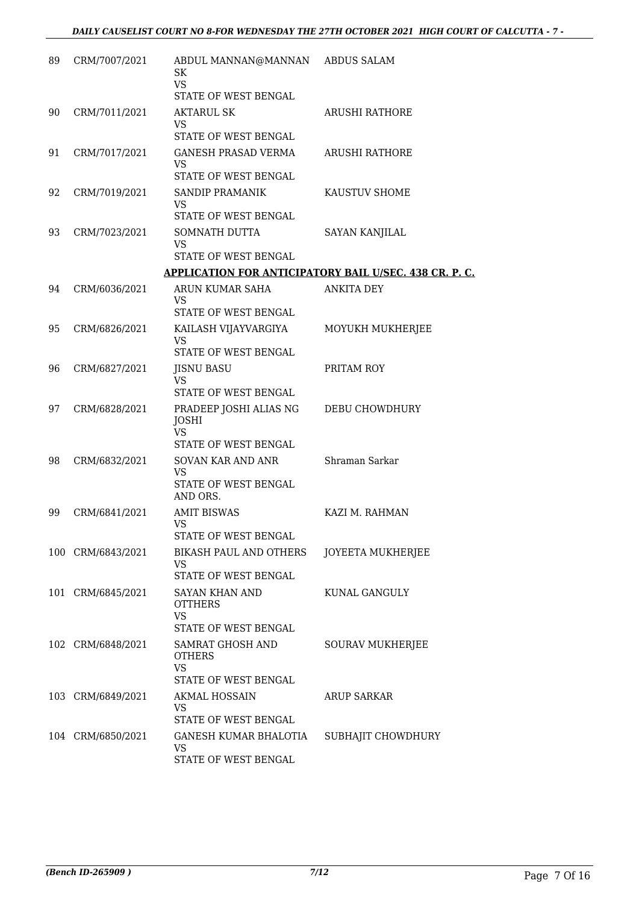| 89 | CRM/7007/2021     | ABDUL MANNAN@MANNAN ABDUS SALAM<br><b>SK</b><br><b>VS</b><br>STATE OF WEST BENGAL |                                                               |
|----|-------------------|-----------------------------------------------------------------------------------|---------------------------------------------------------------|
| 90 | CRM/7011/2021     | <b>AKTARUL SK</b><br>VS                                                           | <b>ARUSHI RATHORE</b>                                         |
| 91 | CRM/7017/2021     | STATE OF WEST BENGAL<br>GANESH PRASAD VERMA<br><b>VS</b><br>STATE OF WEST BENGAL  | <b>ARUSHI RATHORE</b>                                         |
| 92 | CRM/7019/2021     | SANDIP PRAMANIK<br>VS<br>STATE OF WEST BENGAL                                     | KAUSTUV SHOME                                                 |
| 93 | CRM/7023/2021     | SOMNATH DUTTA<br><b>VS</b><br>STATE OF WEST BENGAL                                | <b>SAYAN KANJILAL</b>                                         |
|    |                   |                                                                                   | <b>APPLICATION FOR ANTICIPATORY BAIL U/SEC. 438 CR. P. C.</b> |
| 94 | CRM/6036/2021     | ARUN KUMAR SAHA                                                                   | <b>ANKITA DEY</b>                                             |
|    |                   | <b>VS</b>                                                                         |                                                               |
|    |                   | STATE OF WEST BENGAL                                                              |                                                               |
| 95 | CRM/6826/2021     | KAILASH VIJAYVARGIYA<br><b>VS</b><br>STATE OF WEST BENGAL                         | MOYUKH MUKHERJEE                                              |
| 96 | CRM/6827/2021     | <b>JISNU BASU</b>                                                                 | PRITAM ROY                                                    |
|    |                   | <b>VS</b><br>STATE OF WEST BENGAL                                                 |                                                               |
| 97 | CRM/6828/2021     | PRADEEP JOSHI ALIAS NG<br><b>JOSHI</b><br><b>VS</b>                               | DEBU CHOWDHURY                                                |
|    |                   | STATE OF WEST BENGAL                                                              |                                                               |
| 98 | CRM/6832/2021     | SOVAN KAR AND ANR<br><b>VS</b><br>STATE OF WEST BENGAL<br>AND ORS.                | Shraman Sarkar                                                |
| 99 | CRM/6841/2021     | <b>AMIT BISWAS</b><br><b>VS</b>                                                   | KAZI M. RAHMAN                                                |
|    |                   | STATE OF WEST BENGAL                                                              |                                                               |
|    | 100 CRM/6843/2021 | <b>BIKASH PAUL AND OTHERS</b><br>VS<br>STATE OF WEST BENGAL                       | JOYEETA MUKHERJEE                                             |
|    | 101 CRM/6845/2021 | SAYAN KHAN AND<br><b>OTTHERS</b><br><b>VS</b>                                     | KUNAL GANGULY                                                 |
|    |                   | STATE OF WEST BENGAL                                                              |                                                               |
|    | 102 CRM/6848/2021 | SAMRAT GHOSH AND<br><b>OTHERS</b><br><b>VS</b><br>STATE OF WEST BENGAL            | <b>SOURAV MUKHERJEE</b>                                       |
|    | 103 CRM/6849/2021 | <b>AKMAL HOSSAIN</b>                                                              | <b>ARUP SARKAR</b>                                            |
|    |                   | VS<br>STATE OF WEST BENGAL                                                        |                                                               |
|    | 104 CRM/6850/2021 | GANESH KUMAR BHALOTIA<br>VS<br>STATE OF WEST BENGAL                               | SUBHAJIT CHOWDHURY                                            |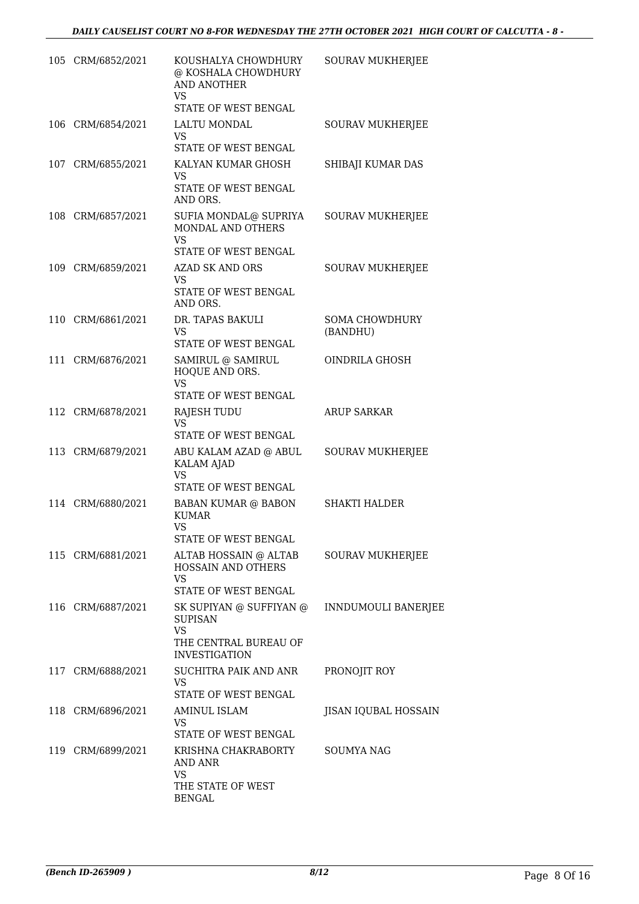| 105 CRM/6852/2021 | KOUSHALYA CHOWDHURY<br>@ KOSHALA CHOWDHURY<br><b>AND ANOTHER</b><br><b>VS</b> | <b>SOURAV MUKHERJEE</b>    |
|-------------------|-------------------------------------------------------------------------------|----------------------------|
|                   | STATE OF WEST BENGAL                                                          |                            |
| 106 CRM/6854/2021 | LALTU MONDAL<br><b>VS</b>                                                     | SOURAV MUKHERJEE           |
|                   | STATE OF WEST BENGAL                                                          |                            |
| 107 CRM/6855/2021 | KALYAN KUMAR GHOSH<br>VS                                                      | SHIBAJI KUMAR DAS          |
|                   | STATE OF WEST BENGAL<br>AND ORS.                                              |                            |
| 108 CRM/6857/2021 | SUFIA MONDAL@ SUPRIYA<br>MONDAL AND OTHERS                                    | <b>SOURAV MUKHERJEE</b>    |
|                   | <b>VS</b><br>STATE OF WEST BENGAL                                             |                            |
| 109 CRM/6859/2021 | <b>AZAD SK AND ORS</b>                                                        | SOURAV MUKHERJEE           |
|                   | VS<br>STATE OF WEST BENGAL<br>AND ORS.                                        |                            |
| 110 CRM/6861/2021 | DR. TAPAS BAKULI                                                              | <b>SOMA CHOWDHURY</b>      |
|                   | VS                                                                            | (BANDHU)                   |
|                   | STATE OF WEST BENGAL                                                          |                            |
| 111 CRM/6876/2021 | SAMIRUL @ SAMIRUL<br>HOQUE AND ORS.<br><b>VS</b>                              | OINDRILA GHOSH             |
|                   | STATE OF WEST BENGAL                                                          | <b>ARUP SARKAR</b>         |
| 112 CRM/6878/2021 | <b>RAJESH TUDU</b><br><b>VS</b>                                               |                            |
|                   | STATE OF WEST BENGAL                                                          |                            |
| 113 CRM/6879/2021 | ABU KALAM AZAD @ ABUL<br><b>KALAM AJAD</b><br><b>VS</b>                       | <b>SOURAV MUKHERJEE</b>    |
|                   | STATE OF WEST BENGAL                                                          |                            |
| 114 CRM/6880/2021 | BABAN KUMAR @ BABON<br><b>KUMAR</b><br><b>VS</b><br>STATE OF WEST BENGAL      | <b>SHAKTI HALDER</b>       |
| 115 CRM/6881/2021 | ALTAB HOSSAIN @ ALTAB                                                         | <b>SOURAV MUKHERJEE</b>    |
|                   | HOSSAIN AND OTHERS<br><b>VS</b>                                               |                            |
|                   | STATE OF WEST BENGAL                                                          |                            |
| 116 CRM/6887/2021 | SK SUPIYAN @ SUFFIYAN @<br><b>SUPISAN</b>                                     | <b>INNDUMOULI BANERJEE</b> |
|                   | <b>VS</b><br>THE CENTRAL BUREAU OF<br><b>INVESTIGATION</b>                    |                            |
| 117 CRM/6888/2021 | SUCHITRA PAIK AND ANR<br>VS.<br>STATE OF WEST BENGAL                          | PRONOJIT ROY               |
| 118 CRM/6896/2021 | <b>AMINUL ISLAM</b>                                                           | JISAN IQUBAL HOSSAIN       |
|                   | VS<br>STATE OF WEST BENGAL                                                    |                            |
| 119 CRM/6899/2021 | KRISHNA CHAKRABORTY                                                           | <b>SOUMYA NAG</b>          |
|                   | AND ANR<br>VS                                                                 |                            |
|                   | THE STATE OF WEST<br><b>BENGAL</b>                                            |                            |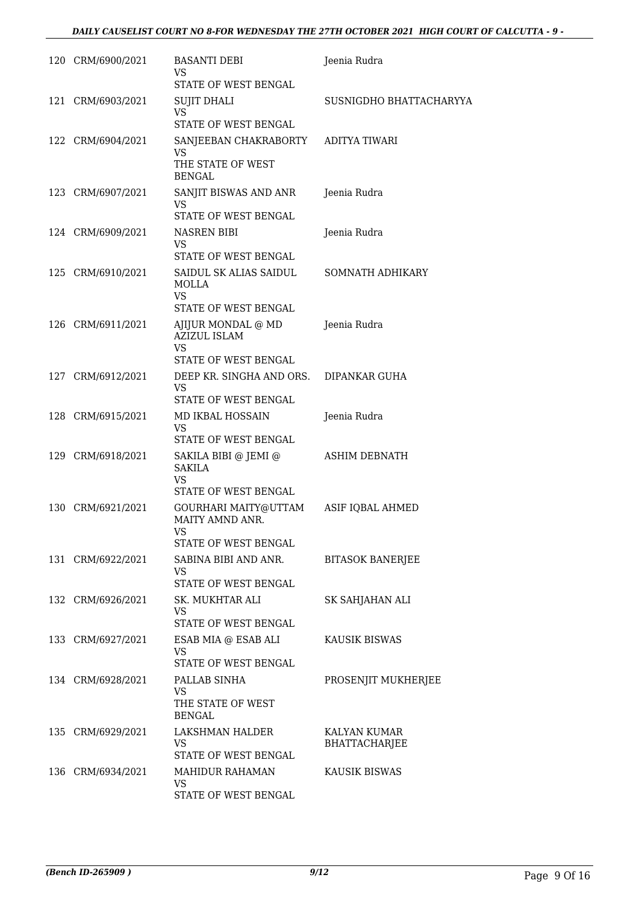| 120 CRM/6900/2021 | <b>BASANTI DEBI</b><br>VS                                    | Jeenia Rudra            |
|-------------------|--------------------------------------------------------------|-------------------------|
| 121 CRM/6903/2021 | STATE OF WEST BENGAL<br>SUJIT DHALI                          | SUSNIGDHO BHATTACHARYYA |
|                   | <b>VS</b><br>STATE OF WEST BENGAL                            |                         |
| 122 CRM/6904/2021 | SANJEEBAN CHAKRABORTY                                        | ADITYA TIWARI           |
|                   | <b>VS</b><br>THE STATE OF WEST<br><b>BENGAL</b>              |                         |
| 123 CRM/6907/2021 | SANJIT BISWAS AND ANR<br>VS                                  | Jeenia Rudra            |
|                   | STATE OF WEST BENGAL                                         |                         |
| 124 CRM/6909/2021 | NASREN BIBI<br><b>VS</b>                                     | Jeenia Rudra            |
|                   | STATE OF WEST BENGAL                                         |                         |
| 125 CRM/6910/2021 | SAIDUL SK ALIAS SAIDUL<br><b>MOLLA</b><br>VS                 | SOMNATH ADHIKARY        |
|                   | STATE OF WEST BENGAL                                         |                         |
| 126 CRM/6911/2021 | AJIJUR MONDAL @ MD<br><b>AZIZUL ISLAM</b><br>VS              | Jeenia Rudra            |
|                   | STATE OF WEST BENGAL                                         |                         |
| 127 CRM/6912/2021 | DEEP KR. SINGHA AND ORS.<br>VS<br>STATE OF WEST BENGAL       | DIPANKAR GUHA           |
|                   |                                                              |                         |
| 128 CRM/6915/2021 | MD IKBAL HOSSAIN<br>VS.<br>STATE OF WEST BENGAL              | Jeenia Rudra            |
| 129 CRM/6918/2021 | SAKILA BIBI @ JEMI @<br>SAKILA<br>VS<br>STATE OF WEST BENGAL | <b>ASHIM DEBNATH</b>    |
| 130 CRM/6921/2021 | GOURHARI MAITY@UTTAM<br>MAITY AMND ANR.<br>VS                | ASIF IQBAL AHMED        |
|                   | STATE OF WEST BENGAL                                         |                         |
| 131 CRM/6922/2021 | SABINA BIBI AND ANR.<br>VS<br>STATE OF WEST BENGAL           | <b>BITASOK BANERJEE</b> |
| 132 CRM/6926/2021 | SK. MUKHTAR ALI                                              | SK SAHJAHAN ALI         |
|                   | VS<br>STATE OF WEST BENGAL                                   |                         |
| 133 CRM/6927/2021 | ESAB MIA @ ESAB ALI<br><b>VS</b>                             | KAUSIK BISWAS           |
|                   | STATE OF WEST BENGAL                                         |                         |
| 134 CRM/6928/2021 | PALLAB SINHA<br><b>VS</b>                                    | PROSENJIT MUKHERJEE     |
|                   | THE STATE OF WEST<br><b>BENGAL</b>                           |                         |
| 135 CRM/6929/2021 | LAKSHMAN HALDER                                              | KALYAN KUMAR            |
|                   | VS                                                           | <b>BHATTACHARJEE</b>    |
|                   | STATE OF WEST BENGAL                                         |                         |
| 136 CRM/6934/2021 | MAHIDUR RAHAMAN<br><b>VS</b><br>STATE OF WEST BENGAL         | <b>KAUSIK BISWAS</b>    |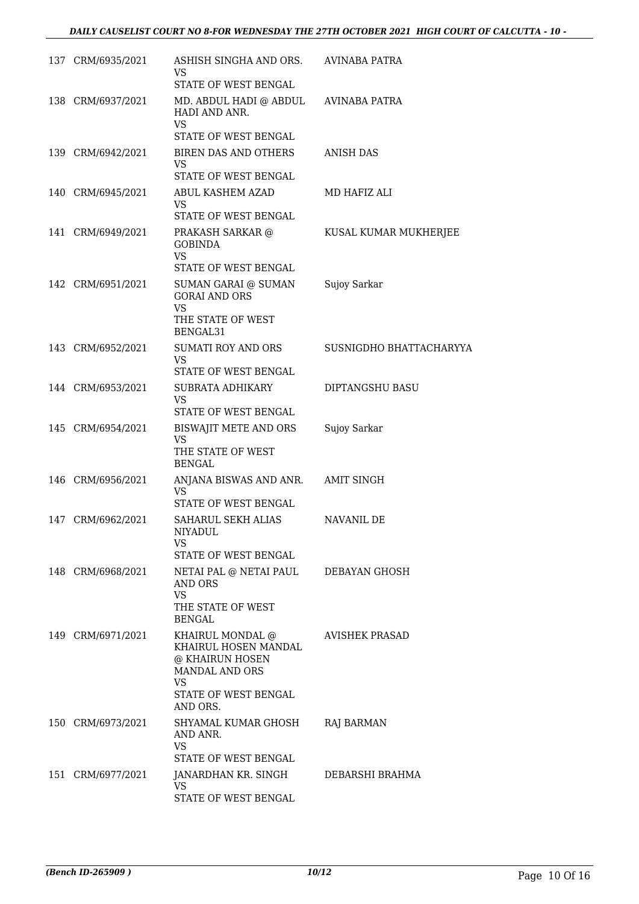| 137 CRM/6935/2021 | ASHISH SINGHA AND ORS.<br>VS                                                         | AVINABA PATRA           |
|-------------------|--------------------------------------------------------------------------------------|-------------------------|
| 138 CRM/6937/2021 | STATE OF WEST BENGAL<br>MD. ABDUL HADI @ ABDUL                                       | <b>AVINABA PATRA</b>    |
|                   | HADI AND ANR.<br><b>VS</b>                                                           |                         |
|                   | STATE OF WEST BENGAL                                                                 |                         |
| 139 CRM/6942/2021 | <b>BIREN DAS AND OTHERS</b><br><b>VS</b><br><b>STATE OF WEST BENGAL</b>              | <b>ANISH DAS</b>        |
| 140 CRM/6945/2021 | ABUL KASHEM AZAD                                                                     | MD HAFIZ ALI            |
|                   | VS                                                                                   |                         |
|                   | STATE OF WEST BENGAL                                                                 |                         |
| 141 CRM/6949/2021 | PRAKASH SARKAR @<br><b>GOBINDA</b><br>VS                                             | KUSAL KUMAR MUKHERJEE   |
|                   | STATE OF WEST BENGAL                                                                 |                         |
| 142 CRM/6951/2021 | SUMAN GARAI @ SUMAN<br><b>GORAI AND ORS</b><br>VS                                    | Sujoy Sarkar            |
|                   | THE STATE OF WEST<br>BENGAL31                                                        |                         |
| 143 CRM/6952/2021 | <b>SUMATI ROY AND ORS</b><br>VS                                                      | SUSNIGDHO BHATTACHARYYA |
|                   | STATE OF WEST BENGAL                                                                 |                         |
| 144 CRM/6953/2021 | SUBRATA ADHIKARY<br>VS                                                               | DIPTANGSHU BASU         |
|                   | STATE OF WEST BENGAL                                                                 |                         |
| 145 CRM/6954/2021 | BISWAJIT METE AND ORS<br><b>VS</b>                                                   | Sujoy Sarkar            |
|                   | THE STATE OF WEST<br><b>BENGAL</b>                                                   |                         |
| 146 CRM/6956/2021 | ANJANA BISWAS AND ANR.                                                               | <b>AMIT SINGH</b>       |
|                   | VS<br>STATE OF WEST BENGAL                                                           |                         |
| 147 CRM/6962/2021 | SAHARUL SEKH ALIAS                                                                   | <b>NAVANIL DE</b>       |
|                   | NIYADUL<br>VS                                                                        |                         |
|                   | STATE OF WEST BENGAL                                                                 |                         |
| 148 CRM/6968/2021 | NETAI PAL @ NETAI PAUL<br>AND ORS                                                    | DEBAYAN GHOSH           |
|                   | VS<br>THE STATE OF WEST                                                              |                         |
|                   | <b>BENGAL</b>                                                                        |                         |
| 149 CRM/6971/2021 | KHAIRUL MONDAL @<br>KHAIRUL HOSEN MANDAL<br>@ KHAIRUN HOSEN<br><b>MANDAL AND ORS</b> | AVISHEK PRASAD          |
|                   | VS<br>STATE OF WEST BENGAL<br>AND ORS.                                               |                         |
| 150 CRM/6973/2021 | SHYAMAL KUMAR GHOSH                                                                  | RAJ BARMAN              |
|                   | AND ANR.<br>VS                                                                       |                         |
|                   | STATE OF WEST BENGAL                                                                 |                         |
| 151 CRM/6977/2021 | JANARDHAN KR. SINGH<br><b>VS</b>                                                     | DEBARSHI BRAHMA         |
|                   | STATE OF WEST BENGAL                                                                 |                         |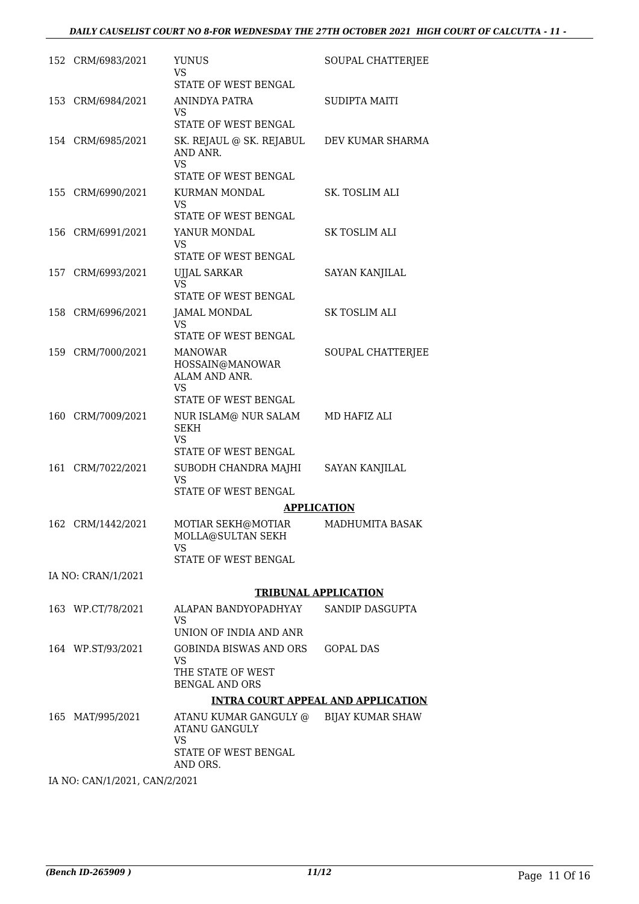#### *DAILY CAUSELIST COURT NO 8-FOR WEDNESDAY THE 27TH OCTOBER 2021 HIGH COURT OF CALCUTTA - 11 -*

| 152 CRM/6983/2021             | <b>YUNUS</b><br>VS<br><b>STATE OF WEST BENGAL</b>                            | SOUPAL CHATTERJEE     |
|-------------------------------|------------------------------------------------------------------------------|-----------------------|
|                               | ANINDYA PATRA                                                                | <b>SUDIPTA MAITI</b>  |
| 153 CRM/6984/2021             | VS<br>STATE OF WEST BENGAL                                                   |                       |
| 154 CRM/6985/2021             | SK. REJAUL @ SK. REJABUL<br>AND ANR.<br><b>VS</b><br>STATE OF WEST BENGAL    | DEV KUMAR SHARMA      |
| 155 CRM/6990/2021             | KURMAN MONDAL                                                                | SK. TOSLIM ALI        |
|                               | VS<br>STATE OF WEST BENGAL                                                   |                       |
| 156 CRM/6991/2021             | YANUR MONDAL                                                                 | <b>SK TOSLIM ALI</b>  |
|                               | VS<br>STATE OF WEST BENGAL                                                   |                       |
| 157 CRM/6993/2021             | UJJAL SARKAR                                                                 | <b>SAYAN KANJILAL</b> |
|                               | VS<br>STATE OF WEST BENGAL                                                   |                       |
| 158 CRM/6996/2021             | <b>JAMAL MONDAL</b>                                                          | SK TOSLIM ALI         |
|                               | VS<br><b>STATE OF WEST BENGAL</b>                                            |                       |
| 159 CRM/7000/2021             | <b>MANOWAR</b>                                                               | SOUPAL CHATTERJEE     |
|                               | HOSSAIN@MANOWAR<br>ALAM AND ANR.<br>VS                                       |                       |
|                               | STATE OF WEST BENGAL                                                         |                       |
| 160 CRM/7009/2021             | NUR ISLAM@ NUR SALAM<br><b>SEKH</b><br>VS                                    | MD HAFIZ ALI          |
|                               | STATE OF WEST BENGAL                                                         |                       |
| 161 CRM/7022/2021             | SUBODH CHANDRA MAJHI<br>VS                                                   | <b>SAYAN KANJILAL</b> |
|                               | STATE OF WEST BENGAL<br><b>APPLICATION</b>                                   |                       |
| 162 CRM/1442/2021             | MOTIAR SEKH@MOTIAR<br>MOLLA@SULTAN SEKH<br>VS<br><b>STATE OF WEST BENGAL</b> | MADHUMITA BASAK       |
| IA NO: CRAN/1/2021            |                                                                              |                       |
|                               | <b>TRIBUNAL APPLICATION</b>                                                  |                       |
| 163 WP.CT/78/2021             | ALAPAN BANDYOPADHYAY                                                         | SANDIP DASGUPTA       |
|                               | VS<br>UNION OF INDIA AND ANR                                                 |                       |
| 164 WP.ST/93/2021             | <b>GOBINDA BISWAS AND ORS</b><br><b>VS</b>                                   | <b>GOPAL DAS</b>      |
|                               | THE STATE OF WEST<br><b>BENGAL AND ORS</b>                                   |                       |
|                               | <b>INTRA COURT APPEAL AND APPLICATION</b>                                    |                       |
| 165 MAT/995/2021              | ATANU KUMAR GANGULY @<br>ATANU GANGULY<br><b>VS</b>                          | BIJAY KUMAR SHAW      |
|                               | STATE OF WEST BENGAL<br>AND ORS.                                             |                       |
| IA NO: CAN/1/2021, CAN/2/2021 |                                                                              |                       |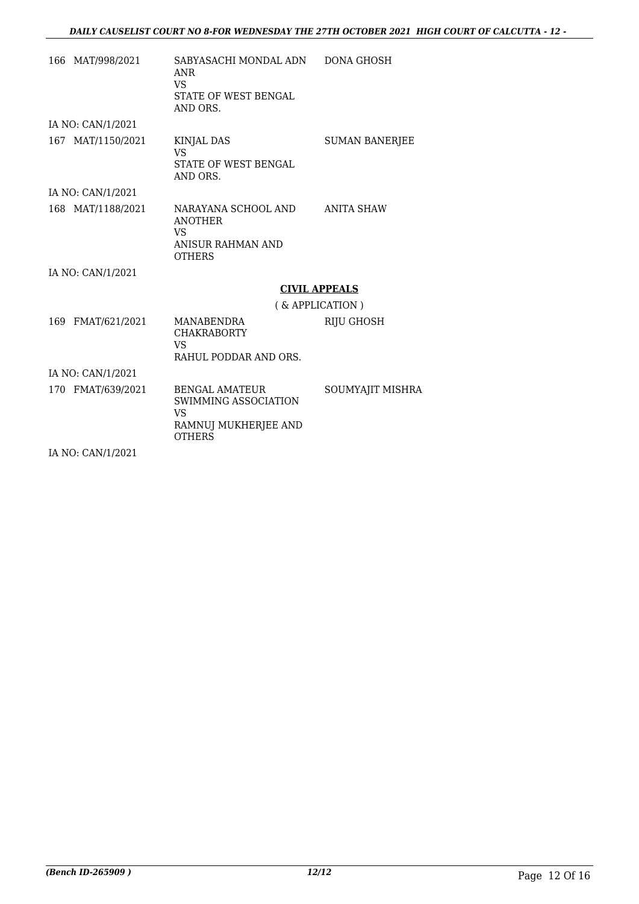| 166 MAT/998/2021  | SABYASACHI MONDAL ADN<br>ANR<br><b>VS</b><br>STATE OF WEST BENGAL<br>AND ORS.                 | <b>DONA GHOSH</b>     |
|-------------------|-----------------------------------------------------------------------------------------------|-----------------------|
| IA NO: CAN/1/2021 |                                                                                               |                       |
| 167 MAT/1150/2021 | <b>KINJAL DAS</b><br><b>VS</b><br>STATE OF WEST BENGAL<br>AND ORS.                            | <b>SUMAN BANERJEE</b> |
| IA NO: CAN/1/2021 |                                                                                               |                       |
| 168 MAT/1188/2021 | NARAYANA SCHOOL AND<br><b>ANOTHER</b><br>VS.<br>ANISUR RAHMAN AND<br><b>OTHERS</b>            | ANITA SHAW            |
| IA NO: CAN/1/2021 |                                                                                               |                       |
|                   | <b>CIVIL APPEALS</b>                                                                          |                       |
|                   | (& APPLICATION)                                                                               |                       |
| 169 FMAT/621/2021 | MANABENDRA<br><b>CHAKRABORTY</b><br>VS.<br>RAHUL PODDAR AND ORS.                              | RIJU GHOSH            |
| IA NO: CAN/1/2021 |                                                                                               |                       |
| 170 FMAT/639/2021 | <b>BENGAL AMATEUR</b><br>SWIMMING ASSOCIATION<br>VS.<br>RAMNUJ MUKHERJEE AND<br><b>OTHERS</b> | SOUMYAJIT MISHRA      |
| IA NO: CAN/1/2021 |                                                                                               |                       |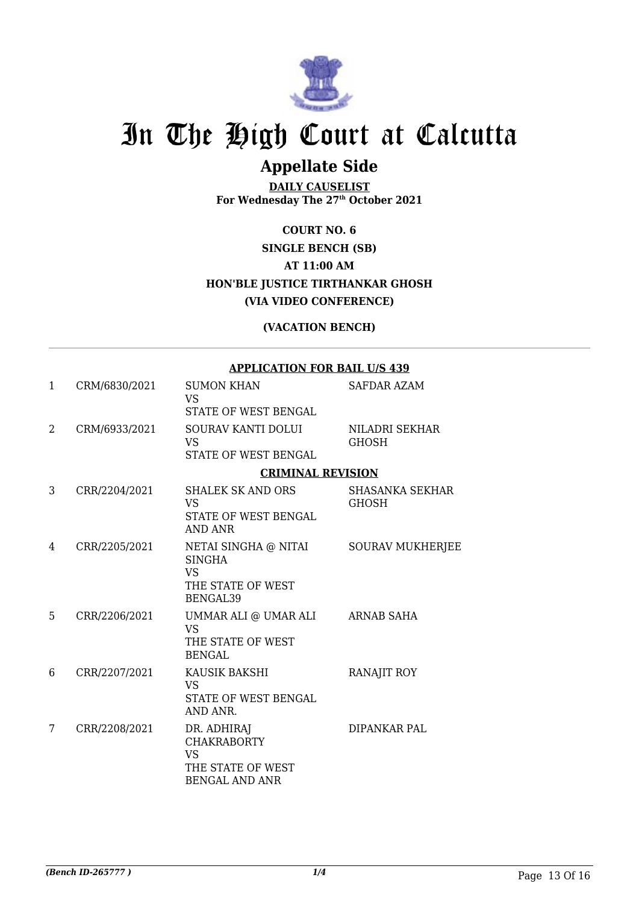

# In The High Court at Calcutta

### **Appellate Side**

**DAILY CAUSELIST For Wednesday The 27th October 2021**

### **COURT NO. 6 SINGLE BENCH (SB) AT 11:00 AM HON'BLE JUSTICE TIRTHANKAR GHOSH (VIA VIDEO CONFERENCE)**

#### **(VACATION BENCH)**

#### **APPLICATION FOR BAIL U/S 439**

| 1              | CRM/6830/2021 | <b>SUMON KHAN</b><br><b>VS</b>                                                               | <b>SAFDAR AZAM</b>              |
|----------------|---------------|----------------------------------------------------------------------------------------------|---------------------------------|
|                |               | <b>STATE OF WEST BENGAL</b>                                                                  |                                 |
| $\mathfrak{D}$ | CRM/6933/2021 | <b>SOURAV KANTI DOLUI</b><br><b>VS</b><br><b>STATE OF WEST BENGAL</b>                        | NILADRI SEKHAR<br><b>GHOSH</b>  |
|                |               | <b>CRIMINAL REVISION</b>                                                                     |                                 |
| 3              | CRR/2204/2021 | <b>SHALEK SK AND ORS</b><br><b>VS</b><br>STATE OF WEST BENGAL<br>AND ANR                     | <b>SHASANKA SEKHAR</b><br>GHOSH |
| 4              | CRR/2205/2021 | NETAI SINGHA @ NITAI<br><b>SINGHA</b><br><b>VS</b><br>THE STATE OF WEST<br>BENGAL39          | <b>SOURAV MUKHERJEE</b>         |
| 5              | CRR/2206/2021 | UMMAR ALI @ UMAR ALI<br><b>VS</b><br>THE STATE OF WEST<br><b>BENGAL</b>                      | <b>ARNAB SAHA</b>               |
| 6              | CRR/2207/2021 | KAUSIK BAKSHI<br><b>VS</b><br><b>STATE OF WEST BENGAL</b><br>AND ANR.                        | <b>RANAJIT ROY</b>              |
| 7              | CRR/2208/2021 | DR. ADHIRAJ<br><b>CHAKRABORTY</b><br><b>VS</b><br>THE STATE OF WEST<br><b>BENGAL AND ANR</b> | DIPANKAR PAL                    |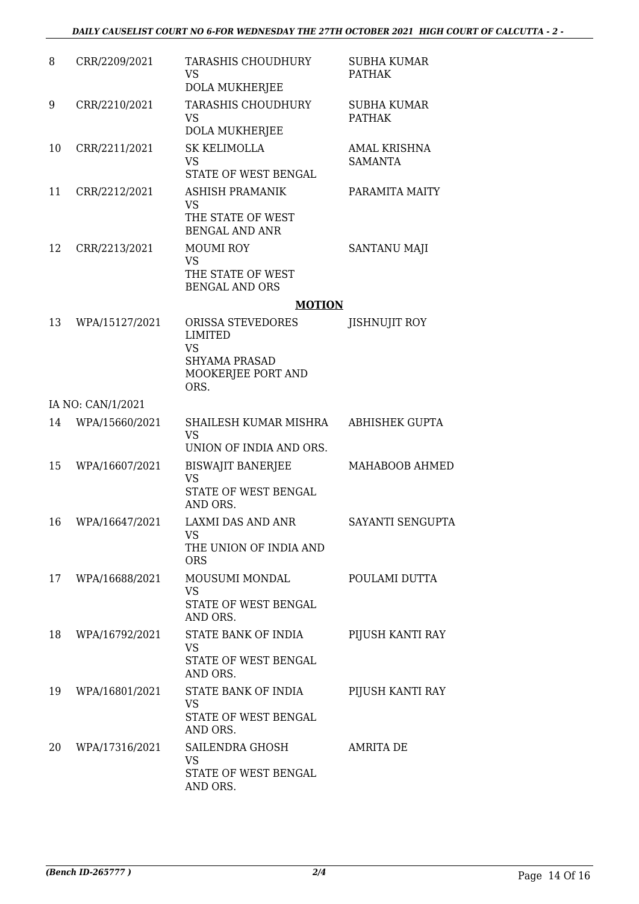| 8  | CRR/2209/2021     | <b>TARASHIS CHOUDHURY</b><br>VS<br>DOLA MUKHERJEE                                               | <b>SUBHA KUMAR</b><br><b>PATHAK</b>   |
|----|-------------------|-------------------------------------------------------------------------------------------------|---------------------------------------|
| 9  | CRR/2210/2021     | <b>TARASHIS CHOUDHURY</b><br><b>VS</b><br>DOLA MUKHERJEE                                        | <b>SUBHA KUMAR</b><br><b>PATHAK</b>   |
| 10 | CRR/2211/2021     | <b>SK KELIMOLLA</b><br><b>VS</b><br>STATE OF WEST BENGAL                                        | <b>AMAL KRISHNA</b><br><b>SAMANTA</b> |
| 11 | CRR/2212/2021     | <b>ASHISH PRAMANIK</b><br>VS<br>THE STATE OF WEST<br><b>BENGAL AND ANR</b>                      | PARAMITA MAITY                        |
| 12 | CRR/2213/2021     | <b>MOUMI ROY</b><br>VS<br>THE STATE OF WEST<br><b>BENGAL AND ORS</b>                            | <b>SANTANU MAJI</b>                   |
|    |                   | <b>MOTION</b>                                                                                   |                                       |
| 13 | WPA/15127/2021    | ORISSA STEVEDORES<br><b>LIMITED</b><br>VS<br><b>SHYAMA PRASAD</b><br>MOOKERJEE PORT AND<br>ORS. | <b>JISHNUJIT ROY</b>                  |
|    | IA NO: CAN/1/2021 |                                                                                                 |                                       |
| 14 | WPA/15660/2021    | SHAILESH KUMAR MISHRA<br><b>VS</b><br>UNION OF INDIA AND ORS.                                   | <b>ABHISHEK GUPTA</b>                 |
| 15 | WPA/16607/2021    | <b>BISWAJIT BANERJEE</b><br>VS<br><b>STATE OF WEST BENGAL</b><br>AND ORS.                       | MAHABOOB AHMED                        |
| 16 | WPA/16647/2021    | <b>LAXMI DAS AND ANR</b><br><b>VS</b><br>THE UNION OF INDIA AND<br><b>ORS</b>                   | SAYANTI SENGUPTA                      |
| 17 | WPA/16688/2021    | MOUSUMI MONDAL<br>VS<br>STATE OF WEST BENGAL<br>AND ORS.                                        | POULAMI DUTTA                         |
| 18 | WPA/16792/2021    | STATE BANK OF INDIA<br>VS<br>STATE OF WEST BENGAL<br>AND ORS.                                   | PIJUSH KANTI RAY                      |
| 19 | WPA/16801/2021    | STATE BANK OF INDIA<br><b>VS</b><br>STATE OF WEST BENGAL<br>AND ORS.                            | PIJUSH KANTI RAY                      |
| 20 | WPA/17316/2021    | SAILENDRA GHOSH<br>VS<br>STATE OF WEST BENGAL<br>AND ORS.                                       | AMRITA DE                             |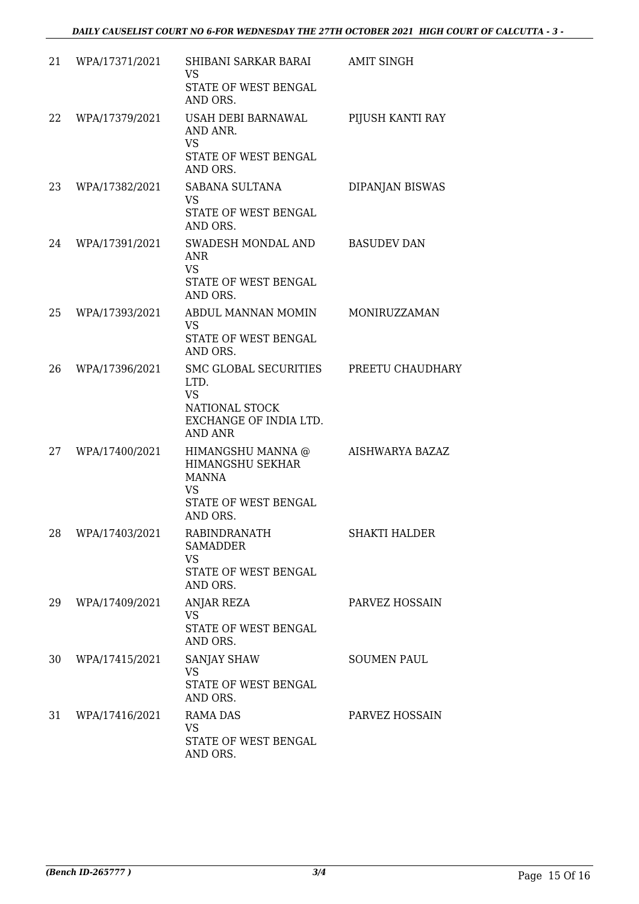| 21 | WPA/17371/2021    | SHIBANI SARKAR BARAI<br><b>VS</b><br>STATE OF WEST BENGAL<br>AND ORS.                                              | <b>AMIT SINGH</b>    |
|----|-------------------|--------------------------------------------------------------------------------------------------------------------|----------------------|
| 22 | WPA/17379/2021    | USAH DEBI BARNAWAL<br>AND ANR.<br><b>VS</b><br>STATE OF WEST BENGAL<br>AND ORS.                                    | PIJUSH KANTI RAY     |
| 23 | WPA/17382/2021    | SABANA SULTANA<br><b>VS</b><br>STATE OF WEST BENGAL<br>AND ORS.                                                    | DIPANJAN BISWAS      |
| 24 | WPA/17391/2021    | SWADESH MONDAL AND<br><b>ANR</b><br><b>VS</b><br>STATE OF WEST BENGAL<br>AND ORS.                                  | <b>BASUDEV DAN</b>   |
| 25 | WPA/17393/2021    | ABDUL MANNAN MOMIN<br><b>VS</b><br>STATE OF WEST BENGAL<br>AND ORS.                                                | MONIRUZZAMAN         |
| 26 | WPA/17396/2021    | SMC GLOBAL SECURITIES PREETU CHAUDHARY<br>LTD.<br><b>VS</b><br>NATIONAL STOCK<br>EXCHANGE OF INDIA LTD.<br>AND ANR |                      |
| 27 | WPA/17400/2021    | HIMANGSHU MANNA @<br>HIMANGSHU SEKHAR<br><b>MANNA</b><br><b>VS</b><br>STATE OF WEST BENGAL<br>AND ORS.             | AISHWARYA BAZAZ      |
|    | 28 WPA/17403/2021 | <b>RABINDRANATH</b><br><b>SAMADDER</b><br><b>VS</b><br>STATE OF WEST BENGAL<br>AND ORS.                            | <b>SHAKTI HALDER</b> |
| 29 | WPA/17409/2021    | ANJAR REZA<br><b>VS</b><br>STATE OF WEST BENGAL<br>AND ORS.                                                        | PARVEZ HOSSAIN       |
| 30 | WPA/17415/2021    | <b>SANJAY SHAW</b><br><b>VS</b><br>STATE OF WEST BENGAL<br>AND ORS.                                                | <b>SOUMEN PAUL</b>   |
| 31 | WPA/17416/2021    | <b>RAMA DAS</b><br><b>VS</b><br>STATE OF WEST BENGAL<br>AND ORS.                                                   | PARVEZ HOSSAIN       |